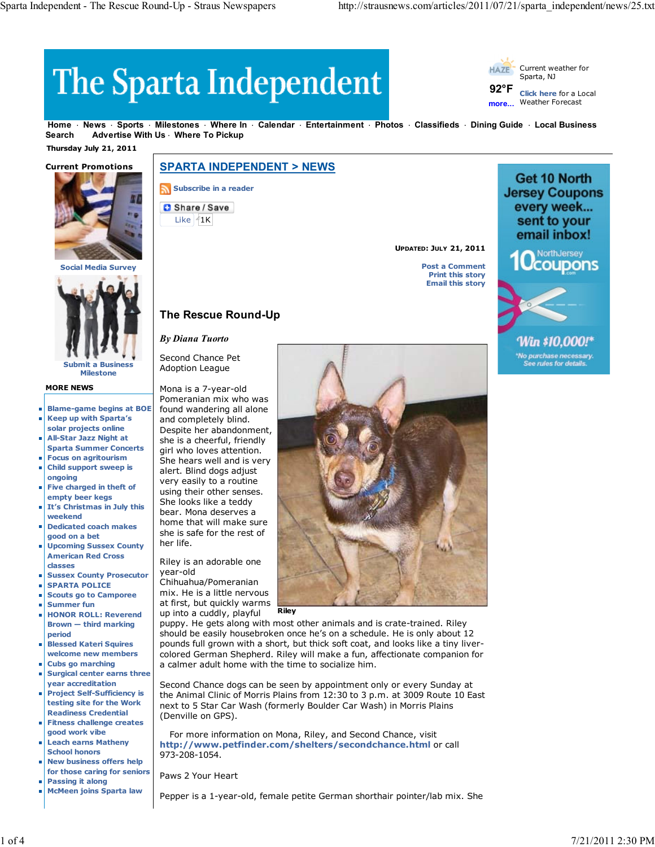# The Sparta Independent



**92°F more... Click here** for a Local Weather Forecast

**Home News Sports Milestones Where In Calendar Entertainment Photos Classifieds Dining Guide Local Business Search Advertise With Us Where To Pickup**

 **Thursday July 21, 2011**



**Social Media Sur** 



**Submit a Business Milestone**

#### **MORE NEWS**

- **Blame-game begins at BOE**
- **Keep up with Sparta's** п **solar projects online**
- **All-Star Jazz Night at Sparta Summer Concerts Focus on agritourism**
- $\blacksquare$ **Child support sweep is ongoing**
- **Five charged in theft of**  $\blacksquare$ **empty beer kegs**
- **It's Christmas in July this weekend**
- **Dedicated coach makes good on a bet**
- **Upcoming Sussex County American Red Cross classes**
- **Sussex County Prosecutor**
- **SPARTA POLICE**  $\blacksquare$
- $\blacksquare$ **Scouts go to Camporee**
- **Summer fun**  $\blacksquare$
- $\blacksquare$ **HONOR ROLL: Reverend Brown — third marking period**
- **Blessed Kateri Squires welcome new members**
- **Cubs go marching**
- п **Surgical center earns three year accreditation**
- **Project Self-Sufficiency is testing site for the Work Readiness Credential**
- **Fitness challenge creates good work vibe**
- **Leach earns Matheny School honors**
- **New business offers help for those caring for seniors**
- **Passing it along**
- **McMeen joins Sparta law**

# **SPARTA INDEPENDENT > NEWS**

**Subscribe in a reader** 

Share / Save Like  $1K$ 

*By Diana Tuorto* Second Chance Pet Adoption League

**UPDATED: JULY 21, 2011**

**Post a Comment Print this story Email this story**



coupons

Win \$10,000!\* *No purchase necessary.*<br>See rules for details.

Mona is a 7-year-old Pomeranian mix who was found wandering all alone and completely blind. Despite her abandonment, she is a cheerful, friendly girl who loves attention. She hears well and is very alert. Blind dogs adjust very easily to a routine using their other senses. She looks like a teddy bear. Mona deserves a home that will make sure she is safe for the rest of her life.

**The Rescue Round-Up**

Riley is an adorable one year-old

Chihuahua/Pomeranian mix. He is a little nervous at first, but quickly warms

**Riley** up into a cuddly, playful

puppy. He gets along with most other animals and is crate-trained. Riley should be easily housebroken once he's on a schedule. He is only about 12 pounds full grown with a short, but thick soft coat, and looks like a tiny livercolored German Shepherd. Riley will make a fun, affectionate companion for a calmer adult home with the time to socialize him.

Second Chance dogs can be seen by appointment only or every Sunday at the Animal Clinic of Morris Plains from 12:30 to 3 p.m. at 3009 Route 10 East next to 5 Star Car Wash (formerly Boulder Car Wash) in Morris Plains (Denville on GPS).

For more information on Mona, Riley, and Second Chance, visit **http://www.petfinder.com/shelters/secondchance.html** or call 973-208-1054.

Paws 2 Your Heart

Pepper is a 1-year-old, female petite German shorthair pointer/lab mix. She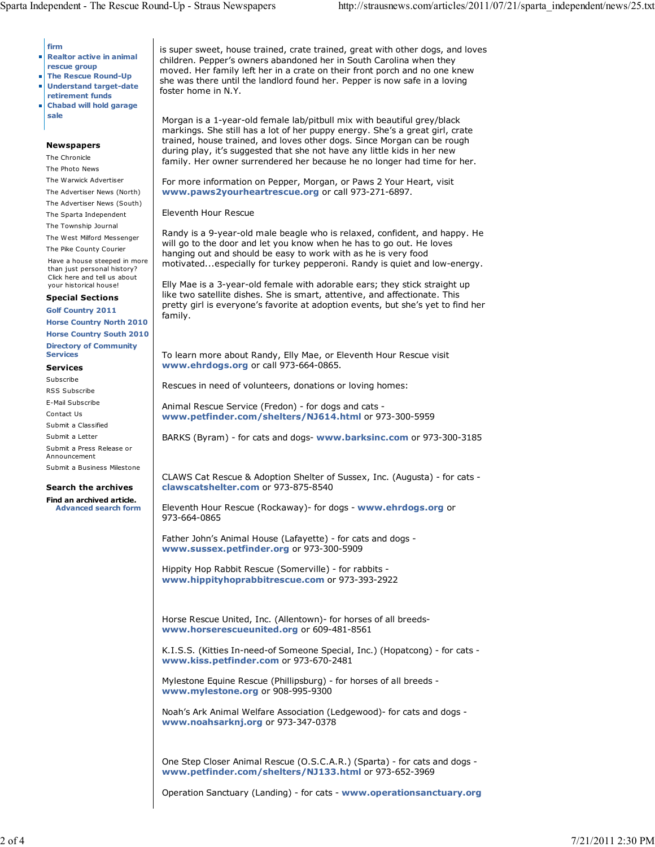#### **firm**

- **Realtor active in animal**
- **rescue group**
- **The Rescue Round-Up Understand target-date** ш
- **retirement funds Chabad will hold garage sale**

# **Newspapers**

The Chronicle

The Photo News

The Warwick Advertiser

The Advertiser News (North)

The Advertiser News (South)

The Sparta Independent The Township Journal

The West Milford Messenger The Pike County Courier

Have a house steeped in more than just personal history? Click here and tell us about your historical house!

**Special Sections**

**Golf Country 2011 Horse Country North 2010 Horse Country South 2010 Directory of Community Services**

## **Services**

Subscribe RSS Subscribe E-Mail Subscribe Contact Us Submit a Classified Submit a Letter Submit a Press Release or Announcement Submit a Business Milestone

### **Search the archives**

**Find an archived article. Advanced search form** is super sweet, house trained, crate trained, great with other dogs, and loves children. Pepper's owners abandoned her in South Carolina when they moved. Her family left her in a crate on their front porch and no one knew she was there until the landlord found her. Pepper is now safe in a loving foster home in N.Y.

Morgan is a 1-year-old female lab/pitbull mix with beautiful grey/black markings. She still has a lot of her puppy energy. She's a great girl, crate trained, house trained, and loves other dogs. Since Morgan can be rough during play, it's suggested that she not have any little kids in her new family. Her owner surrendered her because he no longer had time for her.

For more information on Pepper, Morgan, or Paws 2 Your Heart, visit **www.paws2yourheartrescue.org** or call 973-271-6897.

Eleventh Hour Rescue

Randy is a 9-year-old male beagle who is relaxed, confident, and happy. He will go to the door and let you know when he has to go out. He loves hanging out and should be easy to work with as he is very food motivated...especially for turkey pepperoni. Randy is quiet and low-energy.

Elly Mae is a 3-year-old female with adorable ears; they stick straight up like two satellite dishes. She is smart, attentive, and affectionate. This pretty girl is everyone's favorite at adoption events, but she's yet to find her family.

To learn more about Randy, Elly Mae, or Eleventh Hour Rescue visit **www.ehrdogs.org** or call 973-664-0865.

Rescues in need of volunteers, donations or loving homes:

Animal Rescue Service (Fredon) - for dogs and cats **www.petfinder.com/shelters/NJ614.html** or 973-300-5959

BARKS (Byram) - for cats and dogs- **www.barksinc.com** or 973-300-3185

CLAWS Cat Rescue & Adoption Shelter of Sussex, Inc. (Augusta) - for cats **clawscatshelter.com** or 973-875-8540

Eleventh Hour Rescue (Rockaway)- for dogs - **www.ehrdogs.org** or 973-664-0865

Father John's Animal House (Lafayette) - for cats and dogs **www.sussex.petfinder.org** or 973-300-5909

Hippity Hop Rabbit Rescue (Somerville) - for rabbits **www.hippityhoprabbitrescue.com** or 973-393-2922

Horse Rescue United, Inc. (Allentown)- for horses of all breeds**www.horserescueunited.org** or 609-481-8561

K.I.S.S. (Kitties In-need-of Someone Special, Inc.) (Hopatcong) - for cats **www.kiss.petfinder.com** or 973-670-2481

Mylestone Equine Rescue (Phillipsburg) - for horses of all breeds **www.mylestone.org** or 908-995-9300

Noah's Ark Animal Welfare Association (Ledgewood)- for cats and dogs **www.noahsarknj.org** or 973-347-0378

One Step Closer Animal Rescue (O.S.C.A.R.) (Sparta) - for cats and dogs **www.petfinder.com/shelters/NJ133.html** or 973-652-3969

Operation Sanctuary (Landing) - for cats - **www.operationsanctuary.org**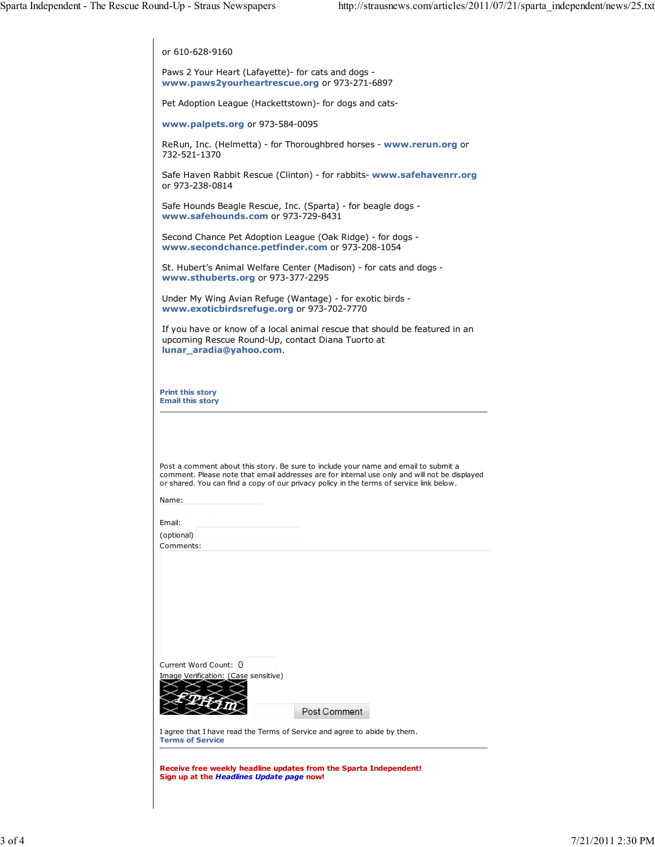| or 610-628-9160                                                                                              |                                                                                                                                                                                                                                                                                  |
|--------------------------------------------------------------------------------------------------------------|----------------------------------------------------------------------------------------------------------------------------------------------------------------------------------------------------------------------------------------------------------------------------------|
| Paws 2 Your Heart (Lafayette)- for cats and dogs -<br>www.paws2yourheartrescue.org or 973-271-6897           |                                                                                                                                                                                                                                                                                  |
| Pet Adoption League (Hackettstown) - for dogs and cats-                                                      |                                                                                                                                                                                                                                                                                  |
| www.palpets.org or 973-584-0095                                                                              |                                                                                                                                                                                                                                                                                  |
| 732-521-1370                                                                                                 | ReRun, Inc. (Helmetta) - for Thoroughbred horses - www.rerun.org or                                                                                                                                                                                                              |
| or 973-238-0814                                                                                              | Safe Haven Rabbit Rescue (Clinton) - for rabbits- www.safehavenrr.org                                                                                                                                                                                                            |
| Safe Hounds Beagle Rescue, Inc. (Sparta) - for beagle dogs -<br>www.safehounds.com or 973-729-8431           |                                                                                                                                                                                                                                                                                  |
| Second Chance Pet Adoption League (Oak Ridge) - for dogs -<br>www.secondchance.petfinder.com or 973-208-1054 |                                                                                                                                                                                                                                                                                  |
| www.sthuberts.org or 973-377-2295                                                                            | St. Hubert's Animal Welfare Center (Madison) - for cats and dogs -                                                                                                                                                                                                               |
| Under My Wing Avian Refuge (Wantage) - for exotic birds -<br>www.exoticbirdsrefuge.org or 973-702-7770       |                                                                                                                                                                                                                                                                                  |
| upcoming Rescue Round-Up, contact Diana Tuorto at<br>lunar_aradia@yahoo.com.                                 | If you have or know of a local animal rescue that should be featured in an                                                                                                                                                                                                       |
| <b>Print this story</b><br><b>Email this story</b>                                                           |                                                                                                                                                                                                                                                                                  |
|                                                                                                              | Post a comment about this story. Be sure to include your name and email to submit a<br>comment. Please note that email addresses are for internal use only and will not be displayed<br>or shared. You can find a copy of our privacy policy in the terms of service link below. |
|                                                                                                              |                                                                                                                                                                                                                                                                                  |
| Comments:                                                                                                    |                                                                                                                                                                                                                                                                                  |
| Name:<br>Email:<br>(optional)                                                                                |                                                                                                                                                                                                                                                                                  |
| Current Word Count: 0<br>Image Verification: (Case sensitive)                                                | Post Comment                                                                                                                                                                                                                                                                     |